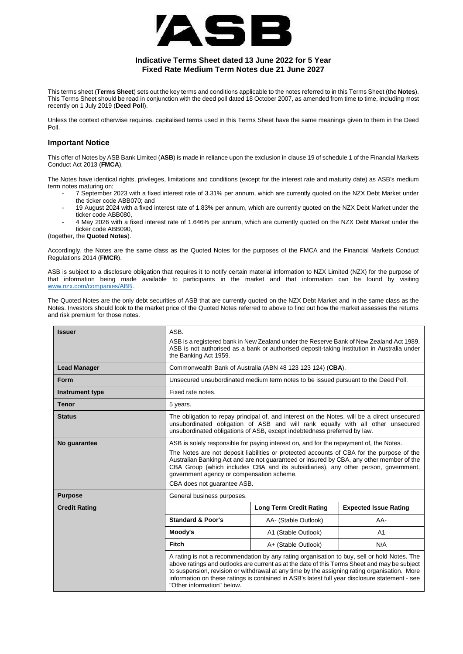

# **Indicative Terms Sheet dated 13 June 2022 for 5 Year Fixed Rate Medium Term Notes due 21 June 2027**

This terms sheet (**Terms Sheet**) sets out the key terms and conditions applicable to the notes referred to in this Terms Sheet (the **Notes**). This Terms Sheet should be read in conjunction with the deed poll dated 18 October 2007, as amended from time to time, including most recently on 1 July 2019 (**Deed Poll**).

Unless the context otherwise requires, capitalised terms used in this Terms Sheet have the same meanings given to them in the Deed Poll.

## **Important Notice**

This offer of Notes by ASB Bank Limited (**ASB**) is made in reliance upon the exclusion in clause 19 of schedule 1 of the Financial Markets Conduct Act 2013 (**FMCA**).

The Notes have identical rights, privileges, limitations and conditions (except for the interest rate and maturity date) as ASB's medium term notes maturing on:

- 7 September 2023 with a fixed interest rate of 3.31% per annum, which are currently quoted on the NZX Debt Market under the ticker code ABB070; and
- 19 August 2024 with a fixed interest rate of 1.83% per annum, which are currently quoted on the NZX Debt Market under the ticker code ABB080,
- 4 May 2026 with a fixed interest rate of 1.646% per annum, which are currently quoted on the NZX Debt Market under the ticker code ABB090,

(together, the **Quoted Notes**).

Accordingly, the Notes are the same class as the Quoted Notes for the purposes of the FMCA and the Financial Markets Conduct Regulations 2014 (**FMCR**).

ASB is subject to a disclosure obligation that requires it to notify certain material information to NZX Limited (NZX) for the purpose of that information being made available to participants in the market and that information can be found by visiting [www.nzx.com/companies/ABB.](http://www.nzx.com/companies/ABB)

The Quoted Notes are the only debt securities of ASB that are currently quoted on the NZX Debt Market and in the same class as the Notes. Investors should look to the market price of the Quoted Notes referred to above to find out how the market assesses the returns and risk premium for those notes.

| <b>Issuer</b>        | ASB.<br>the Banking Act 1959.                                                                                                                                                                                                                                                                                                                                                                                                                     | ASB is a registered bank in New Zealand under the Reserve Bank of New Zealand Act 1989.<br>ASB is not authorised as a bank or authorised deposit-taking institution in Australia under |                              |
|----------------------|---------------------------------------------------------------------------------------------------------------------------------------------------------------------------------------------------------------------------------------------------------------------------------------------------------------------------------------------------------------------------------------------------------------------------------------------------|----------------------------------------------------------------------------------------------------------------------------------------------------------------------------------------|------------------------------|
| <b>Lead Manager</b>  | Commonwealth Bank of Australia (ABN 48 123 123 124) (CBA).                                                                                                                                                                                                                                                                                                                                                                                        |                                                                                                                                                                                        |                              |
| Form                 | Unsecured unsubordinated medium term notes to be issued pursuant to the Deed Poll.                                                                                                                                                                                                                                                                                                                                                                |                                                                                                                                                                                        |                              |
| Instrument type      | Fixed rate notes.                                                                                                                                                                                                                                                                                                                                                                                                                                 |                                                                                                                                                                                        |                              |
| <b>Tenor</b>         | 5 years.                                                                                                                                                                                                                                                                                                                                                                                                                                          |                                                                                                                                                                                        |                              |
| <b>Status</b>        | The obligation to repay principal of, and interest on the Notes, will be a direct unsecured<br>unsubordinated obligation of ASB and will rank equally with all other unsecured<br>unsubordinated obligations of ASB, except indebtedness preferred by law.                                                                                                                                                                                        |                                                                                                                                                                                        |                              |
| No quarantee         | ASB is solely responsible for paying interest on, and for the repayment of, the Notes.<br>The Notes are not deposit liabilities or protected accounts of CBA for the purpose of the<br>Australian Banking Act and are not guaranteed or insured by CBA, any other member of the<br>CBA Group (which includes CBA and its subsidiaries), any other person, government,<br>government agency or compensation scheme.<br>CBA does not guarantee ASB. |                                                                                                                                                                                        |                              |
| <b>Purpose</b>       | General business purposes.                                                                                                                                                                                                                                                                                                                                                                                                                        |                                                                                                                                                                                        |                              |
| <b>Credit Rating</b> |                                                                                                                                                                                                                                                                                                                                                                                                                                                   | <b>Long Term Credit Rating</b>                                                                                                                                                         | <b>Expected Issue Rating</b> |
|                      | <b>Standard &amp; Poor's</b>                                                                                                                                                                                                                                                                                                                                                                                                                      | AA- (Stable Outlook)                                                                                                                                                                   | AA-                          |
|                      | Moody's                                                                                                                                                                                                                                                                                                                                                                                                                                           | A1 (Stable Outlook)                                                                                                                                                                    | A <sub>1</sub>               |
|                      | Fitch                                                                                                                                                                                                                                                                                                                                                                                                                                             | A+ (Stable Outlook)                                                                                                                                                                    | N/A                          |
|                      | A rating is not a recommendation by any rating organisation to buy, sell or hold Notes. The<br>above ratings and outlooks are current as at the date of this Terms Sheet and may be subject<br>to suspension, revision or withdrawal at any time by the assigning rating organisation. More<br>information on these ratings is contained in ASB's latest full year disclosure statement - see<br>"Other information" below.                       |                                                                                                                                                                                        |                              |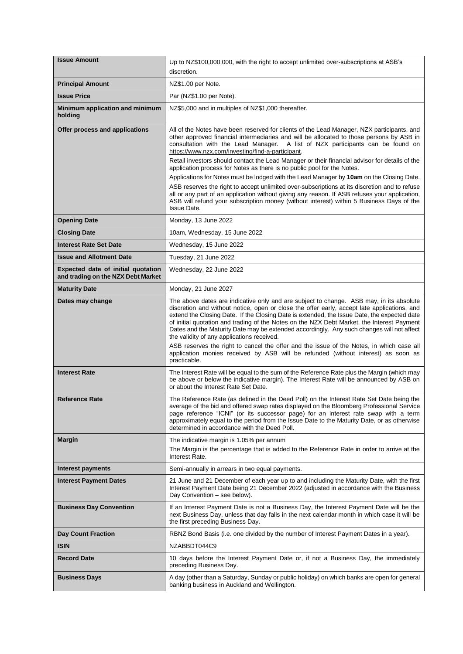| <b>Issue Amount</b>                                                      | Up to NZ\$100,000,000, with the right to accept unlimited over-subscriptions at ASB's                                                                                                                                                                                                                                                                                                                                                                                                                                                                                                                                                                                                                                                                                                                                                                                                                                      |
|--------------------------------------------------------------------------|----------------------------------------------------------------------------------------------------------------------------------------------------------------------------------------------------------------------------------------------------------------------------------------------------------------------------------------------------------------------------------------------------------------------------------------------------------------------------------------------------------------------------------------------------------------------------------------------------------------------------------------------------------------------------------------------------------------------------------------------------------------------------------------------------------------------------------------------------------------------------------------------------------------------------|
|                                                                          | discretion.                                                                                                                                                                                                                                                                                                                                                                                                                                                                                                                                                                                                                                                                                                                                                                                                                                                                                                                |
| <b>Principal Amount</b>                                                  | NZ\$1.00 per Note.                                                                                                                                                                                                                                                                                                                                                                                                                                                                                                                                                                                                                                                                                                                                                                                                                                                                                                         |
| <b>Issue Price</b>                                                       | Par (NZ\$1.00 per Note).                                                                                                                                                                                                                                                                                                                                                                                                                                                                                                                                                                                                                                                                                                                                                                                                                                                                                                   |
| Minimum application and minimum<br>holding                               | NZ\$5,000 and in multiples of NZ\$1,000 thereafter.                                                                                                                                                                                                                                                                                                                                                                                                                                                                                                                                                                                                                                                                                                                                                                                                                                                                        |
| Offer process and applications                                           | All of the Notes have been reserved for clients of the Lead Manager, NZX participants, and<br>other approved financial intermediaries and will be allocated to those persons by ASB in<br>consultation with the Lead Manager. A list of NZX participants can be found on<br>https://www.nzx.com/investing/find-a-participant.<br>Retail investors should contact the Lead Manager or their financial advisor for details of the<br>application process for Notes as there is no public pool for the Notes.<br>Applications for Notes must be lodged with the Lead Manager by 10am on the Closing Date.<br>ASB reserves the right to accept unlimited over-subscriptions at its discretion and to refuse<br>all or any part of an application without giving any reason. If ASB refuses your application,<br>ASB will refund your subscription money (without interest) within 5 Business Days of the<br><b>Issue Date.</b> |
| <b>Opening Date</b>                                                      | Monday, 13 June 2022                                                                                                                                                                                                                                                                                                                                                                                                                                                                                                                                                                                                                                                                                                                                                                                                                                                                                                       |
| <b>Closing Date</b>                                                      | 10am, Wednesday, 15 June 2022                                                                                                                                                                                                                                                                                                                                                                                                                                                                                                                                                                                                                                                                                                                                                                                                                                                                                              |
| <b>Interest Rate Set Date</b>                                            | Wednesday, 15 June 2022                                                                                                                                                                                                                                                                                                                                                                                                                                                                                                                                                                                                                                                                                                                                                                                                                                                                                                    |
| <b>Issue and Allotment Date</b>                                          | Tuesday, 21 June 2022                                                                                                                                                                                                                                                                                                                                                                                                                                                                                                                                                                                                                                                                                                                                                                                                                                                                                                      |
| Expected date of initial quotation<br>and trading on the NZX Debt Market | Wednesday, 22 June 2022                                                                                                                                                                                                                                                                                                                                                                                                                                                                                                                                                                                                                                                                                                                                                                                                                                                                                                    |
| <b>Maturity Date</b>                                                     | Monday, 21 June 2027                                                                                                                                                                                                                                                                                                                                                                                                                                                                                                                                                                                                                                                                                                                                                                                                                                                                                                       |
| Dates may change                                                         | The above dates are indicative only and are subject to change. ASB may, in its absolute<br>discretion and without notice, open or close the offer early, accept late applications, and<br>extend the Closing Date. If the Closing Date is extended, the Issue Date, the expected date<br>of initial quotation and trading of the Notes on the NZX Debt Market, the Interest Payment<br>Dates and the Maturity Date may be extended accordingly. Any such changes will not affect<br>the validity of any applications received.<br>ASB reserves the right to cancel the offer and the issue of the Notes, in which case all<br>application monies received by ASB will be refunded (without interest) as soon as<br>practicable.                                                                                                                                                                                            |
| <b>Interest Rate</b>                                                     | The Interest Rate will be equal to the sum of the Reference Rate plus the Margin (which may<br>be above or below the indicative margin). The Interest Rate will be announced by ASB on<br>or about the Interest Rate Set Date.                                                                                                                                                                                                                                                                                                                                                                                                                                                                                                                                                                                                                                                                                             |
| <b>Reference Rate</b>                                                    | The Reference Rate (as defined in the Deed Poll) on the Interest Rate Set Date being the<br>average of the bid and offered swap rates displayed on the Bloomberg Professional Service<br>page reference "ICNI" (or its successor page) for an interest rate swap with a term<br>approximately equal to the period from the Issue Date to the Maturity Date, or as otherwise<br>determined in accordance with the Deed Poll.                                                                                                                                                                                                                                                                                                                                                                                                                                                                                                |
| <b>Margin</b>                                                            | The indicative margin is 1.05% per annum<br>The Margin is the percentage that is added to the Reference Rate in order to arrive at the<br>Interest Rate.                                                                                                                                                                                                                                                                                                                                                                                                                                                                                                                                                                                                                                                                                                                                                                   |
| Interest payments                                                        | Semi-annually in arrears in two equal payments.                                                                                                                                                                                                                                                                                                                                                                                                                                                                                                                                                                                                                                                                                                                                                                                                                                                                            |
| <b>Interest Payment Dates</b>                                            | 21 June and 21 December of each year up to and including the Maturity Date, with the first<br>Interest Payment Date being 21 December 2022 (adjusted in accordance with the Business<br>Day Convention - see below).                                                                                                                                                                                                                                                                                                                                                                                                                                                                                                                                                                                                                                                                                                       |
| <b>Business Day Convention</b>                                           | If an Interest Payment Date is not a Business Day, the Interest Payment Date will be the<br>next Business Day, unless that day falls in the next calendar month in which case it will be<br>the first preceding Business Day.                                                                                                                                                                                                                                                                                                                                                                                                                                                                                                                                                                                                                                                                                              |
| <b>Day Count Fraction</b>                                                | RBNZ Bond Basis (i.e. one divided by the number of Interest Payment Dates in a year).                                                                                                                                                                                                                                                                                                                                                                                                                                                                                                                                                                                                                                                                                                                                                                                                                                      |
| <b>ISIN</b>                                                              | NZABBDT044C9                                                                                                                                                                                                                                                                                                                                                                                                                                                                                                                                                                                                                                                                                                                                                                                                                                                                                                               |
| <b>Record Date</b>                                                       | 10 days before the Interest Payment Date or, if not a Business Day, the immediately<br>preceding Business Day.                                                                                                                                                                                                                                                                                                                                                                                                                                                                                                                                                                                                                                                                                                                                                                                                             |
| <b>Business Days</b>                                                     | A day (other than a Saturday, Sunday or public holiday) on which banks are open for general<br>banking business in Auckland and Wellington.                                                                                                                                                                                                                                                                                                                                                                                                                                                                                                                                                                                                                                                                                                                                                                                |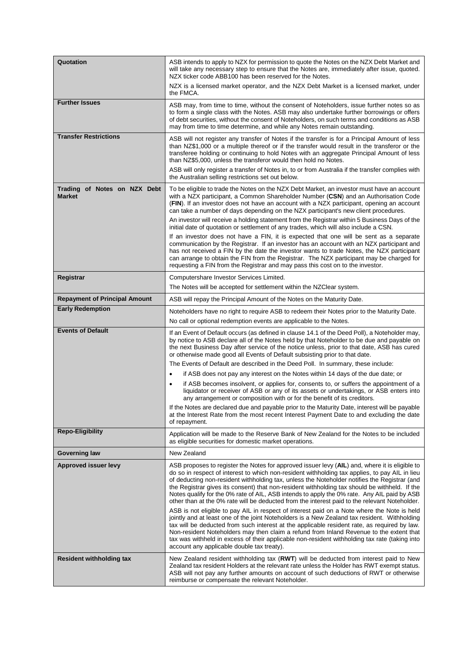| Quotation                                     | ASB intends to apply to NZX for permission to quote the Notes on the NZX Debt Market and<br>will take any necessary step to ensure that the Notes are, immediately after issue, quoted.<br>NZX ticker code ABB100 has been reserved for the Notes.                                                                                                                                                                                                                                                                                                                                                |
|-----------------------------------------------|---------------------------------------------------------------------------------------------------------------------------------------------------------------------------------------------------------------------------------------------------------------------------------------------------------------------------------------------------------------------------------------------------------------------------------------------------------------------------------------------------------------------------------------------------------------------------------------------------|
|                                               | NZX is a licensed market operator, and the NZX Debt Market is a licensed market, under<br>the FMCA.                                                                                                                                                                                                                                                                                                                                                                                                                                                                                               |
| <b>Further Issues</b>                         | ASB may, from time to time, without the consent of Noteholders, issue further notes so as<br>to form a single class with the Notes. ASB may also undertake further borrowings or offers<br>of debt securities, without the consent of Noteholders, on such terms and conditions as ASB<br>may from time to time determine, and while any Notes remain outstanding.                                                                                                                                                                                                                                |
| <b>Transfer Restrictions</b>                  | ASB will not register any transfer of Notes if the transfer is for a Principal Amount of less<br>than NZ\$1,000 or a multiple thereof or if the transfer would result in the transferor or the<br>transferee holding or continuing to hold Notes with an aggregate Principal Amount of less<br>than NZ\$5,000, unless the transferor would then hold no Notes.                                                                                                                                                                                                                                    |
|                                               | ASB will only register a transfer of Notes in, to or from Australia if the transfer complies with<br>the Australian selling restrictions set out below.                                                                                                                                                                                                                                                                                                                                                                                                                                           |
| Trading of Notes on NZX Debt<br><b>Market</b> | To be eligible to trade the Notes on the NZX Debt Market, an investor must have an account<br>with a NZX participant, a Common Shareholder Number (CSN) and an Authorisation Code<br>(FIN). If an investor does not have an account with a NZX participant, opening an account<br>can take a number of days depending on the NZX participant's new client procedures.                                                                                                                                                                                                                             |
|                                               | An investor will receive a holding statement from the Registrar within 5 Business Days of the<br>initial date of quotation or settlement of any trades, which will also include a CSN.                                                                                                                                                                                                                                                                                                                                                                                                            |
|                                               | If an investor does not have a FIN, it is expected that one will be sent as a separate<br>communication by the Registrar. If an investor has an account with an NZX participant and<br>has not received a FIN by the date the investor wants to trade Notes, the NZX participant<br>can arrange to obtain the FIN from the Registrar. The NZX participant may be charged for<br>requesting a FIN from the Registrar and may pass this cost on to the investor.                                                                                                                                    |
| Registrar                                     | Computershare Investor Services Limited.                                                                                                                                                                                                                                                                                                                                                                                                                                                                                                                                                          |
|                                               | The Notes will be accepted for settlement within the NZClear system.                                                                                                                                                                                                                                                                                                                                                                                                                                                                                                                              |
| <b>Repayment of Principal Amount</b>          | ASB will repay the Principal Amount of the Notes on the Maturity Date.                                                                                                                                                                                                                                                                                                                                                                                                                                                                                                                            |
| <b>Early Redemption</b>                       | Noteholders have no right to require ASB to redeem their Notes prior to the Maturity Date.                                                                                                                                                                                                                                                                                                                                                                                                                                                                                                        |
|                                               | No call or optional redemption events are applicable to the Notes.                                                                                                                                                                                                                                                                                                                                                                                                                                                                                                                                |
| <b>Events of Default</b>                      | If an Event of Default occurs (as defined in clause 14.1 of the Deed Poll), a Noteholder may,<br>by notice to ASB declare all of the Notes held by that Noteholder to be due and payable on<br>the next Business Day after service of the notice unless, prior to that date, ASB has cured<br>or otherwise made good all Events of Default subsisting prior to that date.                                                                                                                                                                                                                         |
|                                               | The Events of Default are described in the Deed Poll. In summary, these include:                                                                                                                                                                                                                                                                                                                                                                                                                                                                                                                  |
|                                               | if ASB does not pay any interest on the Notes within 14 days of the due date; or<br>$\bullet$                                                                                                                                                                                                                                                                                                                                                                                                                                                                                                     |
|                                               | if ASB becomes insolvent, or applies for, consents to, or suffers the appointment of a<br>$\bullet$<br>liquidator or receiver of ASB or any of its assets or undertakings, or ASB enters into<br>any arrangement or composition with or for the benefit of its creditors.                                                                                                                                                                                                                                                                                                                         |
|                                               | If the Notes are declared due and payable prior to the Maturity Date, interest will be payable<br>at the Interest Rate from the most recent Interest Payment Date to and excluding the date<br>of repayment.                                                                                                                                                                                                                                                                                                                                                                                      |
| <b>Repo-Eligibility</b>                       | Application will be made to the Reserve Bank of New Zealand for the Notes to be included<br>as eligible securities for domestic market operations.                                                                                                                                                                                                                                                                                                                                                                                                                                                |
| <b>Governing law</b>                          | New Zealand                                                                                                                                                                                                                                                                                                                                                                                                                                                                                                                                                                                       |
| <b>Approved issuer levy</b>                   | ASB proposes to register the Notes for approved issuer levy (AIL) and, where it is eligible to<br>do so in respect of interest to which non-resident withholding tax applies, to pay AIL in lieu<br>of deducting non-resident withholding tax, unless the Noteholder notifies the Registrar (and<br>the Registrar gives its consent) that non-resident withholding tax should be withheld. If the<br>Notes qualify for the 0% rate of AIL, ASB intends to apply the 0% rate. Any AIL paid by ASB<br>other than at the 0% rate will be deducted from the interest paid to the relevant Noteholder. |
|                                               | ASB is not eligible to pay AIL in respect of interest paid on a Note where the Note is held<br>jointly and at least one of the joint Noteholders is a New Zealand tax resident. Withholding<br>tax will be deducted from such interest at the applicable resident rate, as required by law.<br>Non-resident Noteholders may then claim a refund from Inland Revenue to the extent that<br>tax was withheld in excess of their applicable non-resident withholding tax rate (taking into<br>account any applicable double tax treaty).                                                             |
| <b>Resident withholding tax</b>               | New Zealand resident withholding tax (RWT) will be deducted from interest paid to New<br>Zealand tax resident Holders at the relevant rate unless the Holder has RWT exempt status.<br>ASB will not pay any further amounts on account of such deductions of RWT or otherwise<br>reimburse or compensate the relevant Noteholder.                                                                                                                                                                                                                                                                 |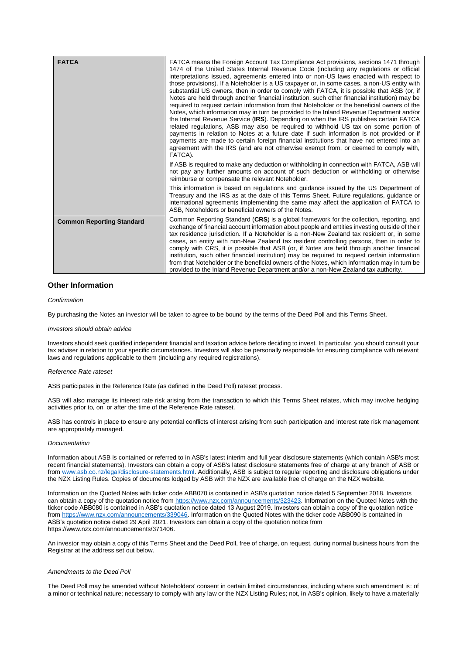| <b>FATCA</b>                     | FATCA means the Foreign Account Tax Compliance Act provisions, sections 1471 through<br>1474 of the United States Internal Revenue Code (including any regulations or official<br>interpretations issued, agreements entered into or non-US laws enacted with respect to<br>those provisions). If a Noteholder is a US taxpayer or, in some cases, a non-US entity with<br>substantial US owners, then in order to comply with FATCA, it is possible that ASB (or, if<br>Notes are held through another financial institution, such other financial institution) may be<br>required to request certain information from that Noteholder or the beneficial owners of the<br>Notes, which information may in turn be provided to the Inland Revenue Department and/or<br>the Internal Revenue Service (IRS). Depending on when the IRS publishes certain FATCA<br>related regulations, ASB may also be required to withhold US tax on some portion of<br>payments in relation to Notes at a future date if such information is not provided or if<br>payments are made to certain foreign financial institutions that have not entered into an<br>agreement with the IRS (and are not otherwise exempt from, or deemed to comply with,<br>FATCA). |
|----------------------------------|-------------------------------------------------------------------------------------------------------------------------------------------------------------------------------------------------------------------------------------------------------------------------------------------------------------------------------------------------------------------------------------------------------------------------------------------------------------------------------------------------------------------------------------------------------------------------------------------------------------------------------------------------------------------------------------------------------------------------------------------------------------------------------------------------------------------------------------------------------------------------------------------------------------------------------------------------------------------------------------------------------------------------------------------------------------------------------------------------------------------------------------------------------------------------------------------------------------------------------------------------|
|                                  | If ASB is required to make any deduction or withholding in connection with FATCA, ASB will<br>not pay any further amounts on account of such deduction or withholding or otherwise<br>reimburse or compensate the relevant Noteholder.                                                                                                                                                                                                                                                                                                                                                                                                                                                                                                                                                                                                                                                                                                                                                                                                                                                                                                                                                                                                          |
|                                  | This information is based on regulations and guidance issued by the US Department of<br>Treasury and the IRS as at the date of this Terms Sheet. Future regulations, guidance or<br>international agreements implementing the same may affect the application of FATCA to<br>ASB. Noteholders or beneficial owners of the Notes.                                                                                                                                                                                                                                                                                                                                                                                                                                                                                                                                                                                                                                                                                                                                                                                                                                                                                                                |
| <b>Common Reporting Standard</b> | Common Reporting Standard (CRS) is a global framework for the collection, reporting, and<br>exchange of financial account information about people and entities investing outside of their<br>tax residence jurisdiction. If a Noteholder is a non-New Zealand tax resident or, in some<br>cases, an entity with non-New Zealand tax resident controlling persons, then in order to<br>comply with CRS, it is possible that ASB (or, if Notes are held through another financial<br>institution, such other financial institution) may be required to request certain information<br>from that Noteholder or the beneficial owners of the Notes, which information may in turn be<br>provided to the Inland Revenue Department and/or a non-New Zealand tax authority.                                                                                                                                                                                                                                                                                                                                                                                                                                                                          |

## **Other Information**

## *Confirmation*

By purchasing the Notes an investor will be taken to agree to be bound by the terms of the Deed Poll and this Terms Sheet.

## *Investors should obtain advice*

Investors should seek qualified independent financial and taxation advice before deciding to invest. In particular, you should consult your tax adviser in relation to your specific circumstances. Investors will also be personally responsible for ensuring compliance with relevant laws and regulations applicable to them (including any required registrations).

#### *Reference Rate rateset*

ASB participates in the Reference Rate (as defined in the Deed Poll) rateset process.

ASB will also manage its interest rate risk arising from the transaction to which this Terms Sheet relates, which may involve hedging activities prior to, on, or after the time of the Reference Rate rateset.

ASB has controls in place to ensure any potential conflicts of interest arising from such participation and interest rate risk management are appropriately managed.

#### *Documentation*

Information about ASB is contained or referred to in ASB's latest interim and full year disclosure statements (which contain ASB's most recent financial statements). Investors can obtain a copy of ASB's latest disclosure statements free of charge at any branch of ASB or from [www.asb.co.nz/legal/disclosure-statements.html.](http://www.asb.co.nz/legal/disclosure-statements.html) Additionally, ASB is subject to regular reporting and disclosure obligations under the NZX Listing Rules. Copies of documents lodged by ASB with the NZX are available free of charge on the NZX website.

Information on the Quoted Notes with ticker code ABB070 is contained in ASB's quotation notice dated 5 September 2018. Investors can obtain a copy of the quotation notice from [https://www.nzx.com/announcements/323423.](https://www.nzx.com/announcements/323423) Information on the Quoted Notes with the ticker code ABB080 is contained in ASB's quotation notice dated 13 August 2019. Investors can obtain a copy of the quotation notice fro[m https://www.nzx.com/announcements/339046.](https://www.nzx.com/announcements/339046) Information on the Quoted Notes with the ticker code ABB090 is contained in ASB's quotation notice dated 29 April 2021. Investors can obtain a copy of the quotation notice from https://www.nzx.com/announcements/371406.

An investor may obtain a copy of this Terms Sheet and the Deed Poll, free of charge, on request, during normal business hours from the Registrar at the address set out below.

#### *Amendments to the Deed Poll*

The Deed Poll may be amended without Noteholders' consent in certain limited circumstances, including where such amendment is: of a minor or technical nature; necessary to comply with any law or the NZX Listing Rules; not, in ASB's opinion, likely to have a materially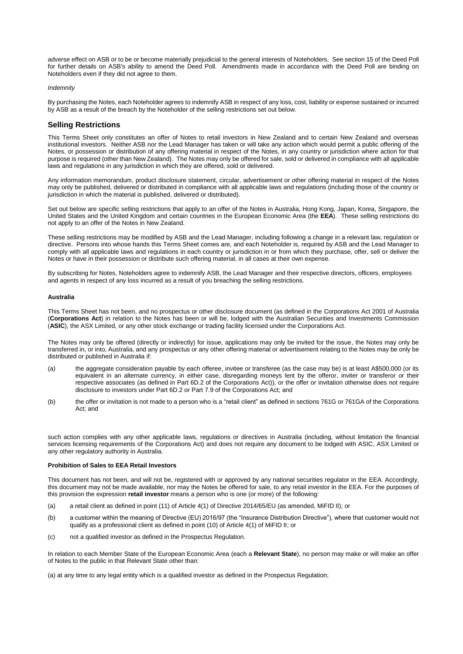adverse effect on ASB or to be or become materially prejudicial to the general interests of Noteholders. See section 15 of the Deed Poll for further details on ASB's ability to amend the Deed Poll. Amendments made in accordance with the Deed Poll are binding on Noteholders even if they did not agree to them.

#### *Indemnity*

By purchasing the Notes, each Noteholder agrees to indemnify ASB in respect of any loss, cost, liability or expense sustained or incurred by ASB as a result of the breach by the Noteholder of the selling restrictions set out below.

## **Selling Restrictions**

This Terms Sheet only constitutes an offer of Notes to retail investors in New Zealand and to certain New Zealand and overseas institutional investors. Neither ASB nor the Lead Manager has taken or will take any action which would permit a public offering of the Notes, or possession or distribution of any offering material in respect of the Notes, in any country or jurisdiction where action for that purpose is required (other than New Zealand). The Notes may only be offered for sale, sold or delivered in compliance with all applicable laws and regulations in any jurisdiction in which they are offered, sold or delivered.

Any information memorandum, product disclosure statement, circular, advertisement or other offering material in respect of the Notes may only be published, delivered or distributed in compliance with all applicable laws and regulations (including those of the country or jurisdiction in which the material is published, delivered or distributed).

Set out below are specific selling restrictions that apply to an offer of the Notes in Australia, Hong Kong, Japan, Korea, Singapore, the United States and the United Kingdom and certain countries in the European Economic Area (the **EEA**). These selling restrictions do not apply to an offer of the Notes in New Zealand.

These selling restrictions may be modified by ASB and the Lead Manager, including following a change in a relevant law, regulation or directive. Persons into whose hands this Terms Sheet comes are, and each Noteholder is, required by ASB and the Lead Manager to comply with all applicable laws and regulations in each country or jurisdiction in or from which they purchase, offer, sell or deliver the Notes or have in their possession or distribute such offering material, in all cases at their own expense.

By subscribing for Notes, Noteholders agree to indemnify ASB, the Lead Manager and their respective directors, officers, employees and agents in respect of any loss incurred as a result of you breaching the selling restrictions.

### **Australia**

This Terms Sheet has not been, and no prospectus or other disclosure document (as defined in the Corporations Act 2001 of Australia (**Corporations Act**) in relation to the Notes has been or will be, lodged with the Australian Securities and Investments Commission (**ASIC**), the ASX Limited, or any other stock exchange or trading facility licensed under the Corporations Act.

The Notes may only be offered (directly or indirectly) for issue, applications may only be invited for the issue, the Notes may only be transferred in, or into, Australia, and any prospectus or any other offering material or advertisement relating to the Notes may be only be distributed or published in Australia if:

- (a) the aggregate consideration payable by each offeree, invitee or transferee (as the case may be) is at least A\$500,000 (or its equivalent in an alternate currency, in either case, disregarding moneys lent by the offeror, inviter or transferor or their respective associates (as defined in Part 6D.2 of the Corporations Act)), or the offer or invitation otherwise does not require disclosure to investors under Part 6D.2 or Part 7.9 of the Corporations Act; and
- (b) the offer or invitation is not made to a person who is a "retail client" as defined in sections 761G or 761GA of the Corporations Act; and

such action complies with any other applicable laws, regulations or directives in Australia (including, without limitation the financial services licensing requirements of the Corporations Act) and does not require any document to be lodged with ASIC, ASX Limited or any other regulatory authority in Australia.

### **Prohibition of Sales to EEA Retail Investors**

This document has not been, and will not be, registered with or approved by any national securities regulator in the EEA. Accordingly, this document may not be made available, nor may the Notes be offered for sale, to any retail investor in the EEA. For the purposes of this provision the expression **retail investor** means a person who is one (or more) of the following:

- (a) a retail client as defined in point (11) of Article 4(1) of Directive 2014/65/EU (as amended, MiFID II); or
- (b) a customer within the meaning of Directive (EU) 2016/97 (the "Insurance Distribution Directive"), where that customer would not qualify as a professional client as defined in point (10) of Article 4(1) of MiFID II; or
- (c) not a qualified investor as defined in the Prospectus Regulation.

In relation to each Member State of the European Economic Area (each a **Relevant State**), no person may make or will make an offer of Notes to the public in that Relevant State other than:

(a) at any time to any legal entity which is a qualified investor as defined in the Prospectus Regulation;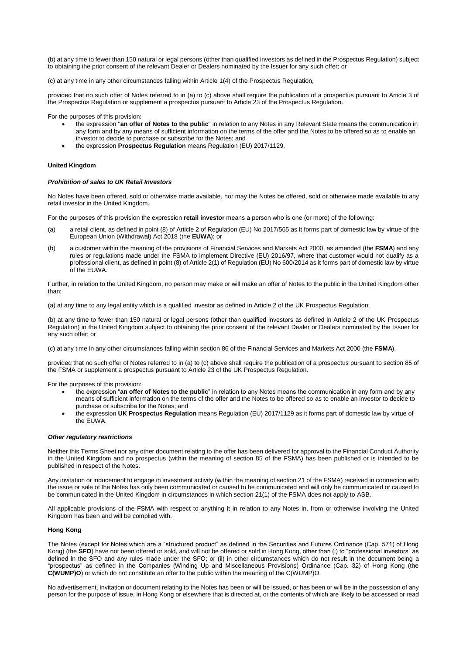(b) at any time to fewer than 150 natural or legal persons (other than qualified investors as defined in the Prospectus Regulation) subject to obtaining the prior consent of the relevant Dealer or Dealers nominated by the Issuer for any such offer; or

(c) at any time in any other circumstances falling within Article 1(4) of the Prospectus Regulation,

provided that no such offer of Notes referred to in (a) to (c) above shall require the publication of a prospectus pursuant to Article 3 of the Prospectus Regulation or supplement a prospectus pursuant to Article 23 of the Prospectus Regulation.

For the purposes of this provision:

- the expression "**an offer of Notes to the public**" in relation to any Notes in any Relevant State means the communication in any form and by any means of sufficient information on the terms of the offer and the Notes to be offered so as to enable an investor to decide to purchase or subscribe for the Notes; and
- the expression **Prospectus Regulation** means Regulation (EU) 2017/1129.

### **United Kingdom**

## *Prohibition of sales to UK Retail Investors*

No Notes have been offered, sold or otherwise made available, nor may the Notes be offered, sold or otherwise made available to any retail investor in the United Kingdom.

For the purposes of this provision the expression **retail investor** means a person who is one (or more) of the following:

- (a) a retail client, as defined in point (8) of Article 2 of Regulation (EU) No 2017/565 as it forms part of domestic law by virtue of the European Union (Withdrawal) Act 2018 (the **EUWA**); or
- (b) a customer within the meaning of the provisions of Financial Services and Markets Act 2000, as amended (the **FSMA**) and any rules or regulations made under the FSMA to implement Directive (EU) 2016/97, where that customer would not qualify as a professional client, as defined in point (8) of Article 2(1) of Regulation (EU) No 600/2014 as it forms part of domestic law by virtue of the EUWA.

Further, in relation to the United Kingdom, no person may make or will make an offer of Notes to the public in the United Kingdom other than:

(a) at any time to any legal entity which is a qualified investor as defined in Article 2 of the UK Prospectus Regulation;

(b) at any time to fewer than 150 natural or legal persons (other than qualified investors as defined in Article 2 of the UK Prospectus Regulation) in the United Kingdom subject to obtaining the prior consent of the relevant Dealer or Dealers nominated by the Issuer for any such offer; or

(c) at any time in any other circumstances falling within section 86 of the Financial Services and Markets Act 2000 (the **FSMA**),

provided that no such offer of Notes referred to in (a) to (c) above shall require the publication of a prospectus pursuant to section 85 of the FSMA or supplement a prospectus pursuant to Article 23 of the UK Prospectus Regulation.

For the purposes of this provision:

- the expression "**an offer of Notes to the public**" in relation to any Notes means the communication in any form and by any means of sufficient information on the terms of the offer and the Notes to be offered so as to enable an investor to decide to purchase or subscribe for the Notes; and
- the expression **UK Prospectus Regulation** means Regulation (EU) 2017/1129 as it forms part of domestic law by virtue of the EUWA.

#### *Other regulatory restrictions*

Neither this Terms Sheet nor any other document relating to the offer has been delivered for approval to the Financial Conduct Authority in the United Kingdom and no prospectus (within the meaning of section 85 of the FSMA) has been published or is intended to be published in respect of the Notes.

Any invitation or inducement to engage in investment activity (within the meaning of section 21 of the FSMA) received in connection with the issue or sale of the Notes has only been communicated or caused to be communicated and will only be communicated or caused to be communicated in the United Kingdom in circumstances in which section 21(1) of the FSMA does not apply to ASB.

All applicable provisions of the FSMA with respect to anything it in relation to any Notes in, from or otherwise involving the United Kingdom has been and will be complied with.

### **Hong Kong**

The Notes (except for Notes which are a "structured product" as defined in the Securities and Futures Ordinance (Cap. 571) of Hong Kong) (the **SFO**) have not been offered or sold, and will not be offered or sold in Hong Kong, other than (i) to "professional investors" as defined in the SFO and any rules made under the SFO; or (ii) in other circumstances which do not result in the document being a "prospectus" as defined in the Companies (Winding Up and Miscellaneous Provisions) Ordinance (Cap. 32) of Hong Kong (the **C(WUMP)O**) or which do not constitute an offer to the public within the meaning of the C(WUMP)O.

No advertisement, invitation or document relating to the Notes has been or will be issued, or has been or will be in the possession of any person for the purpose of issue, in Hong Kong or elsewhere that is directed at, or the contents of which are likely to be accessed or read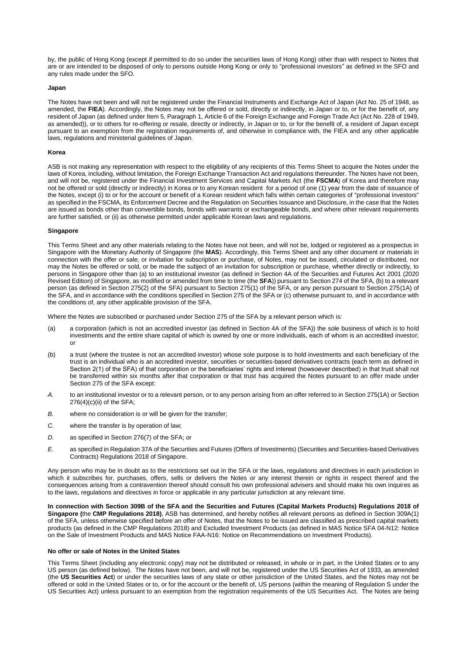by, the public of Hong Kong (except if permitted to do so under the securities laws of Hong Kong) other than with respect to Notes that are or are intended to be disposed of only to persons outside Hong Kong or only to "professional investors" as defined in the SFO and any rules made under the SFO.

#### **Japan**

The Notes have not been and will not be registered under the Financial Instruments and Exchange Act of Japan (Act No. 25 of 1948, as amended, the FIEA). Accordingly, the Notes may not be offered or sold, directly or indirectly, in Japan or to, or for the benefit of, any resident of Japan (as defined under Item 5, Paragraph 1, Article 6 of the Foreign Exchange and Foreign Trade Act (Act No. 228 of 1949, as amended)), or to others for re-offering or resale, directly or indirectly, in Japan or to, or for the benefit of, a resident of Japan except pursuant to an exemption from the registration requirements of, and otherwise in compliance with, the FIEA and any other applicable laws, regulations and ministerial guidelines of Japan.

#### **Korea**

ASB is not making any representation with respect to the eligibility of any recipients of this Terms Sheet to acquire the Notes under the laws of Korea, including, without limitation, the Foreign Exchange Transaction Act and regulations thereunder. The Notes have not been, and will not be, registered under the Financial Investment Services and Capital Markets Act (the **FSCMA**) of Korea and therefore may not be offered or sold (directly or indirectly) in Korea or to any Korean resident for a period of one (1) year from the date of issuance of the Notes, except (i) to or for the account or benefit of a Korean resident which falls within certain categories of "professional investors" as specified in the FSCMA, its Enforcement Decree and the Regulation on Securities Issuance and Disclosure, in the case that the Notes are issued as bonds other than convertible bonds, bonds with warrants or exchangeable bonds, and where other relevant requirements are further satisfied, or (ii) as otherwise permitted under applicable Korean laws and regulations.

#### **Singapore**

This Terms Sheet and any other materials relating to the Notes have not been, and will not be, lodged or registered as a prospectus in Singapore with the Monetary Authority of Singapore (the **MAS**). Accordingly, this Terms Sheet and any other document or materials in connection with the offer or sale, or invitation for subscription or purchase, of Notes, may not be issued, circulated or distributed, nor may the Notes be offered or sold, or be made the subject of an invitation for subscription or purchase, whether directly or indirectly, to persons in Singapore other than (a) to an institutional investor (as defined in Section 4A of the Securities and Futures Act 2001 (2020 Revised Edition) of Singapore, as modified or amended from time to time (the **SFA**)) pursuant to Section 274 of the SFA, (b) to a relevant person (as defined in Section 275(2) of the SFA) pursuant to Section 275(1) of the SFA, or any person pursuant to Section 275(1A) of the SFA, and in accordance with the conditions specified in Section 275 of the SFA or (c) otherwise pursuant to, and in accordance with the conditions of, any other applicable provision of the SFA.

Where the Notes are subscribed or purchased under Section 275 of the SFA by a relevant person which is:

- (a) a corporation (which is not an accredited investor (as defined in Section 4A of the SFA)) the sole business of which is to hold investments and the entire share capital of which is owned by one or more individuals, each of whom is an accredited investor; or
- (b) a trust (where the trustee is not an accredited investor) whose sole purpose is to hold investments and each beneficiary of the trust is an individual who is an accredited investor, securities or securities-based derivatives contracts (each term as defined in Section 2(1) of the SFA) of that corporation or the beneficiaries' rights and interest (howsoever described) in that trust shall not be transferred within six months after that corporation or that trust has acquired the Notes pursuant to an offer made under Section 275 of the SFA except:
- *A.* to an institutional investor or to a relevant person, or to any person arising from an offer referred to in Section 275(1A) or Section 276(4)(c)(ii) of the SFA;
- *B.* where no consideration is or will be given for the transfer;
- *C.* where the transfer is by operation of law;
- *D.* as specified in Section 276(7) of the SFA; or
- *E.* as specified in Regulation 37A of the Securities and Futures (Offers of Investments) (Securities and Securities-based Derivatives Contracts) Regulations 2018 of Singapore.

Any person who may be in doubt as to the restrictions set out in the SFA or the laws, regulations and directives in each jurisdiction in which it subscribes for, purchases, offers, sells or delivers the Notes or any interest therein or rights in respect thereof and the consequences arising from a contravention thereof should consult his own professional advisers and should make his own inquires as to the laws, regulations and directives in force or applicable in any particular jurisdiction at any relevant time.

**In connection with Section 309B of the SFA and the Securities and Futures (Capital Markets Products) Regulations 2018 of Singapore (**the **CMP Regulations 2018)**, ASB has determined, and hereby notifies all relevant persons as defined in Section 309A(1) of the SFA, unless otherwise specified before an offer of Notes, that the Notes to be issued are classified as prescribed capital markets products (as defined in the CMP Regulations 2018) and Excluded Investment Products (as defined in MAS Notice SFA 04-N12: Notice on the Sale of Investment Products and MAS Notice FAA-N16: Notice on Recommendations on Investment Products). 

#### **No offer or sale of Notes in the United States**

This Terms Sheet (including any electronic copy) may not be distributed or released, in whole or in part, in the United States or to any US person (as defined below). The Notes have not been, and will not be, registered under the US Securities Act of 1933, as amended (the **US Securities Act**) or under the securities laws of any state or other jurisdiction of the United States, and the Notes may not be offered or sold in the United States or to, or for the account or the benefit of, US persons (within the meaning of Regulation S under the US Securities Act) unless pursuant to an exemption from the registration requirements of the US Securities Act. The Notes are being